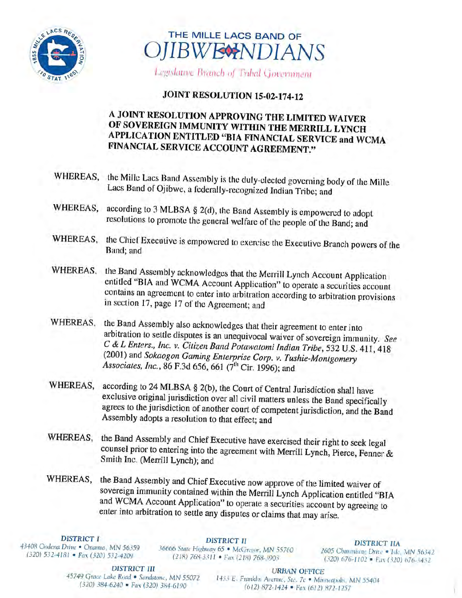



Legislative Branch of Tribal Government

## **JOINT RESOLUTION 15-02-174-12**

## A, JOINT RESOLUTION APPROVING THE LIMITED WAIVER OF SOVEREIGN IMMUNITY WITHIN THE MERRILL LYNCH APPLICATION ENTITLED "BIA FINANCIAL SERVICE and WCMA FINANCIAL SERVICE ACCOUNT AGREEMENT."

- WHEREAS, the Mille Lacs Band Assembly is the duly-elected governing body of the Mille Lacs Band of Ojibwe, a federally-recognized Indian Tribe; and
- WHEREAS, according to 3 MLBSA § 2(d), the Band Assembly is empowered to adopt resolutions to promote the general welfare of the people of the Band; and
- WHEREAS, the Chief Executive is empowered to exercise the Executive Branch powers of the Band; and
- WHEREAS. the Band Assembly acknowledges that the Merrill Lynch Account Application entitled "BIA and WCMA Account Application" to operate a securities account contains an agreement to enter into arbitration according to arbitration provisions in section 17, page 17 of the Agreement; and
- WHEREAS, the Band Assembly also acknowledges that their agreement to enter into<br>arbitration to settle disputes is an unequivocal waiver of sovereign immunity. See C & L Enters., Inc. v. Citizen Band Potawatomi Indian Tribe, 532 U.S. 411, 418 (2001) and Sokaogon Gaming Enterprise Corp. v. Tushie-Montgomery Associates, Inc., 86 F.3d 656, 661 (7<sup>th</sup> Cir. 1996); and
- WHEREAS, according to 24 MLBSA § 2(b), the Court of Central Jurisdiction shall have exclusive original jurisdiction over all civil matters unless the Band specifically agrees to the jurisdiction of another court of competent jurisdiction, and the Band Assembly adopts <sup>a</sup> resolution to that effect; and
- WHEREAS, the Band Assembly and Chief Executive have exercised their right to seek legal counsel prior to entering into the agreement with Merrill Lynch, Pierce, Fenner & Smith Inc. (Merrill Lynch); and
- WHEREAS, the Band Assembly and Chief Executive now approve of the limited waiver of sovereign immunity contained within the Merrill Lynch Application entitled "BIA and WCMA Account Application" to operate a securities account by agreeing to enter into arbitration to settle any disputes or claims that may arise.

DISTRICT I<br>43408 Oodena Drive • Onamia, MN 56359 36666 State Highway 65 • McGregor, MN 55760 2605 Chimnisme Drive • Isle, MN 56342<br>(320) 532-4181 • Fax (320) 532-4209 (218) 768-3311 • Fax (218) 768-3903 (320) 676-1102 • Fa

**DISTRICT III** URBAN OFFICE<br>45749 Grace Lake Road • Sandstone, MN 55072 1433 E. Franklin August Star 7c • Mix

<sup>45749</sup> Grace Lake Road • Sandstone, MN <sup>55072</sup> <sup>1433</sup> E. Franklin Avenue, Ste. 7c • Minneapolis, MN <sup>55404</sup> (612) 872-1424 • Fax (612) 872-1257